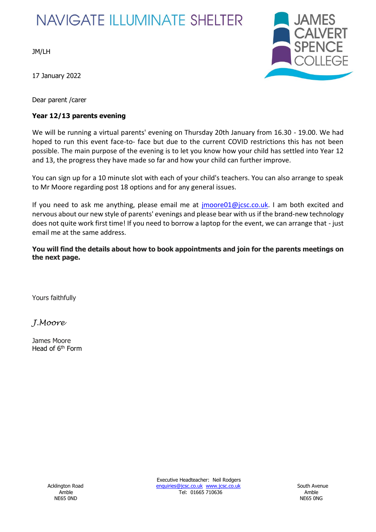## **NAVIGATE ILLUMINATE SHELTER**

JM/LH

17 January 2022

Dear parent /carer

## **Year 12/13 parents evening**



We will be running a virtual parents' evening on Thursday 20th January from 16.30 - 19.00. We had hoped to run this event face-to- face but due to the current COVID restrictions this has not been possible. The main purpose of the evening is to let you know how your child has settled into Year 12 and 13, the progress they have made so far and how your child can further improve.

You can sign up for a 10 minute slot with each of your child's teachers. You can also arrange to speak to Mr Moore regarding post 18 options and for any general issues.

If you need to ask me anything, please email me at *imoore01@jcsc.co.uk*. I am both excited and nervous about our new style of parents' evenings and please bear with us if the brand-new technology does not quite work first time! If you need to borrow a laptop for the event, we can arrange that - just email me at the same address.

**You will find the details about how to book appointments and join for the parents meetings on the next page.**

Yours faithfully

*J.Moore*

James Moore Head of 6<sup>th</sup> Form

NE65 0ND NE65 0NG

Executive Headteacher: Neil Rodgers Acklington Road **Enquiries@jcsc.co.uk www.jcsc.co.uk** South Avenue Amble Tel: 01665 710636 Amble